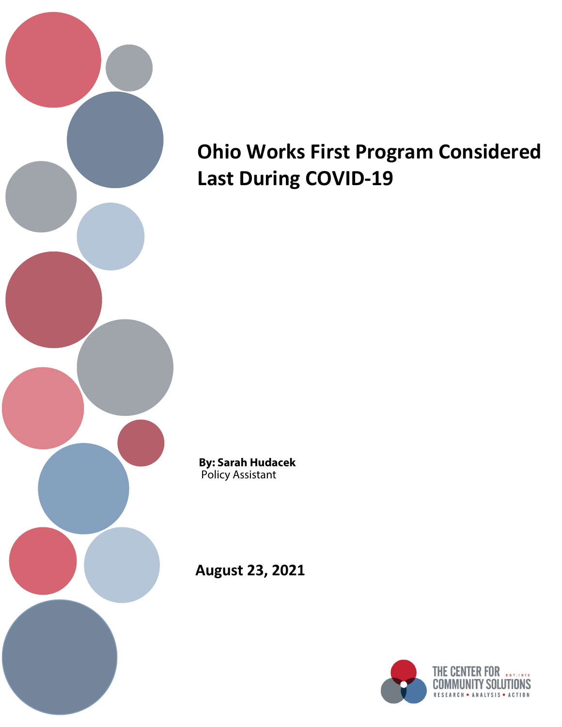

# **Ohio Works First Program Considered Last During COVID-19**

**By: Sarah Hudacek** Policy Assistant

**August 23, 2021**

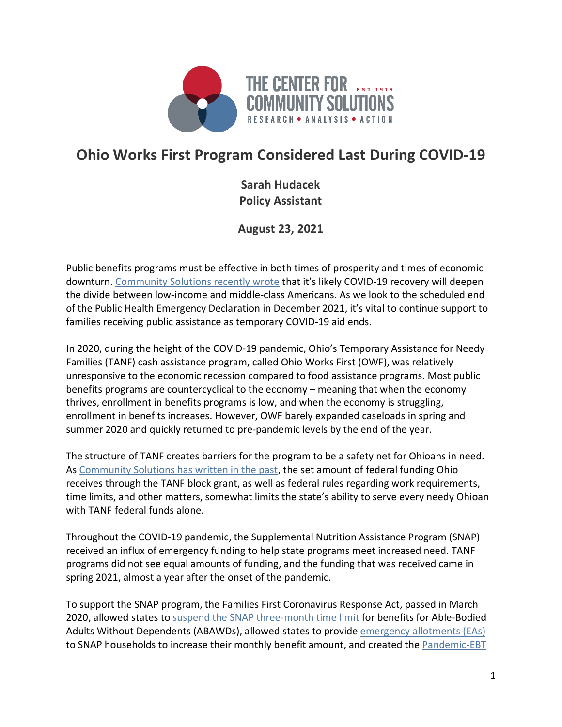

## **Ohio Works First Program Considered Last During COVID-19**

**Sarah Hudacek Policy Assistant**

**August 23, 2021**

Public benefits programs must be effective in both times of prosperity and times of economic downturn. [Community Solutions recently wrote](https://www.communitysolutions.com/covid-recession-tale-two-recoveries/) that it's likely COVID-19 recovery will deepen the divide between low-income and middle-class Americans. As we look to the scheduled end of the Public Health Emergency Declaration in December 2021, it's vital to continue support to families receiving public assistance as temporary COVID-19 aid ends.

In 2020, during the height of the COVID-19 pandemic, Ohio's Temporary Assistance for Needy Families (TANF) cash assistance program, called Ohio Works First (OWF), was relatively unresponsive to the economic recession compared to food assistance programs. Most public benefits programs are countercyclical to the economy – meaning that when the economy thrives, enrollment in benefits programs is low, and when the economy is struggling, enrollment in benefits increases. However, OWF barely expanded caseloads in spring and summer 2020 and quickly returned to pre-pandemic levels by the end of the year.

The structure of TANF creates barriers for the program to be a safety net for Ohioans in need. As [Community Solutions has written in the past,](https://www.communitysolutions.com/research/temporary-assistance-needy-families-ohio-balancing-program-integrity-entitlement-reducing-poverty-not-goal/) the set amount of federal funding Ohio receives through the TANF block grant, as well as federal rules regarding work requirements, time limits, and other matters, somewhat limits the state's ability to serve every needy Ohioan with TANF federal funds alone.

Throughout the COVID-19 pandemic, the Supplemental Nutrition Assistance Program (SNAP) received an influx of emergency funding to help state programs meet increased need. TANF programs did not see equal amounts of funding, and the funding that was received came in spring 2021, almost a year after the onset of the pandemic.

To support the SNAP program, the Families First Coronavirus Response Act, passed in March 2020, allowed states to [suspend the SNAP three-month time limit](https://www.communitysolutions.com/snap-program-coronavirus/) for benefits for Able-Bodied Adults Without Dependents (ABAWDs), allowed states to provide [emergency allotments \(EAs\)](https://www.communitysolutions.com/research/temporary-emergency-hunger-assistance-buoying-ohios-economy/) to SNAP households to increase their monthly benefit amount, and created the [Pandemic-EBT](https://www.communitysolutions.com/ohios-new-pandemic-ebt-program-will-provide-groceries-850000-ohio-children/)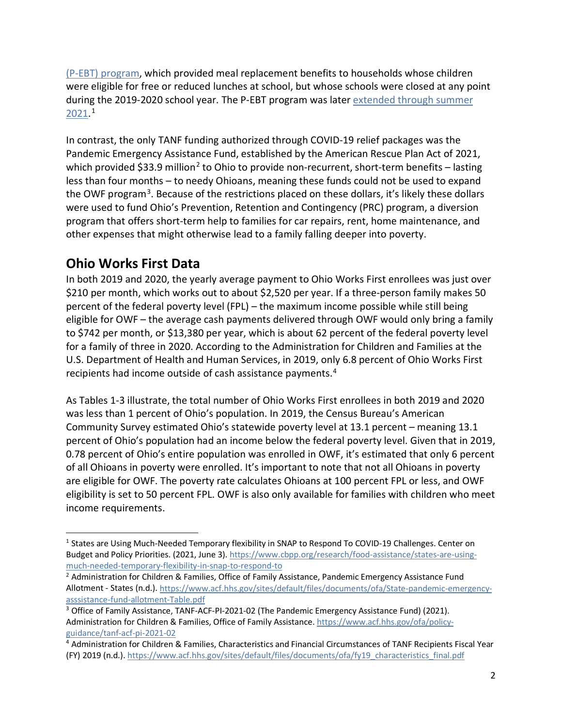[\(P-EBT\) program,](https://www.communitysolutions.com/ohios-new-pandemic-ebt-program-will-provide-groceries-850000-ohio-children/) which provided meal replacement benefits to households whose children were eligible for free or reduced lunches at school, but whose schools were closed at any point during the 2019-2020 school year. The P-EBT program was later [extended through summer](https://www.communitysolutions.com/ohio-plans-extend-pandemic-ebt-program-remainder-2020-2021-school-year/)   $2021.<sup>1</sup>$  $2021.<sup>1</sup>$  $2021.<sup>1</sup>$  $2021.<sup>1</sup>$ 

In contrast, the only TANF funding authorized through COVID-19 relief packages was the Pandemic Emergency Assistance Fund, established by the American Rescue Plan Act of 2021, which provided \$33.9 million<sup>[2](#page-2-1)</sup> to Ohio to provide non-recurrent, short-term benefits – lasting less than four months – to needy Ohioans, meaning these funds could not be used to expand the OWF program<sup>[3](#page-2-2)</sup>. Because of the restrictions placed on these dollars, it's likely these dollars were used to fund Ohio's Prevention, Retention and Contingency (PRC) program, a diversion program that offers short-term help to families for car repairs, rent, home maintenance, and other expenses that might otherwise lead to a family falling deeper into poverty.

## **Ohio Works First Data**

In both 2019 and 2020, the yearly average payment to Ohio Works First enrollees was just over \$210 per month, which works out to about \$2,520 per year. If a three-person family makes 50 percent of the federal poverty level (FPL) – the maximum income possible while still being eligible for OWF – the average cash payments delivered through OWF would only bring a family to \$742 per month, or \$13,380 per year, which is about 62 percent of the federal poverty level for a family of three in 2020. According to the Administration for Children and Families at the U.S. Department of Health and Human Services, in 2019, only 6.8 percent of Ohio Works First recipients had income outside of cash assistance payments.[4](#page-2-3)

As Tables 1-3 illustrate, the total number of Ohio Works First enrollees in both 2019 and 2020 was less than 1 percent of Ohio's population. In 2019, the Census Bureau's American Community Survey estimated Ohio's statewide poverty level at 13.1 percent – meaning 13.1 percent of Ohio's population had an income below the federal poverty level. Given that in 2019, 0.78 percent of Ohio's entire population was enrolled in OWF, it's estimated that only 6 percent of all Ohioans in poverty were enrolled. It's important to note that not all Ohioans in poverty are eligible for OWF. The poverty rate calculates Ohioans at 100 percent FPL or less, and OWF eligibility is set to 50 percent FPL. OWF is also only available for families with children who meet income requirements.

<span id="page-2-0"></span> <sup>1</sup> States are Using Much-Needed Temporary flexibility in SNAP to Respond To COVID-19 Challenges. Center on Budget and Policy Priorities. (2021, June 3). [https://www.cbpp.org/research/food-assistance/states-are-using](https://www.cbpp.org/research/food-assistance/states-are-using-much-needed-temporary-flexibility-in-snap-to-respond-to)[much-needed-temporary-flexibility-in-snap-to-respond-to](https://www.cbpp.org/research/food-assistance/states-are-using-much-needed-temporary-flexibility-in-snap-to-respond-to)

<span id="page-2-1"></span><sup>&</sup>lt;sup>2</sup> Administration for Children & Families, Office of Family Assistance, Pandemic Emergency Assistance Fund Allotment - States (n.d.). [https://www.acf.hhs.gov/sites/default/files/documents/ofa/State-pandemic-emergency](https://www.acf.hhs.gov/sites/default/files/documents/ofa/State-pandemic-emergency-asssistance-fund-allotment-Table.pdf)[asssistance-fund-allotment-Table.pdf](https://www.acf.hhs.gov/sites/default/files/documents/ofa/State-pandemic-emergency-asssistance-fund-allotment-Table.pdf)

<span id="page-2-2"></span><sup>&</sup>lt;sup>3</sup> Office of Family Assistance, TANF-ACF-PI-2021-02 (The Pandemic Emergency Assistance Fund) (2021). Administration for Children & Families, Office of Family Assistance[. https://www.acf.hhs.gov/ofa/policy](https://www.acf.hhs.gov/ofa/policy-guidance/tanf-acf-pi-2021-02)[guidance/tanf-acf-pi-2021-02](https://www.acf.hhs.gov/ofa/policy-guidance/tanf-acf-pi-2021-02)

<span id="page-2-3"></span><sup>4</sup> Administration for Children & Families, Characteristics and Financial Circumstances of TANF Recipients Fiscal Year (FY) 2019 (n.d.)[. https://www.acf.hhs.gov/sites/default/files/documents/ofa/fy19\\_characteristics\\_final.pdf](https://www.acf.hhs.gov/sites/default/files/documents/ofa/fy19_characteristics_final.pdf)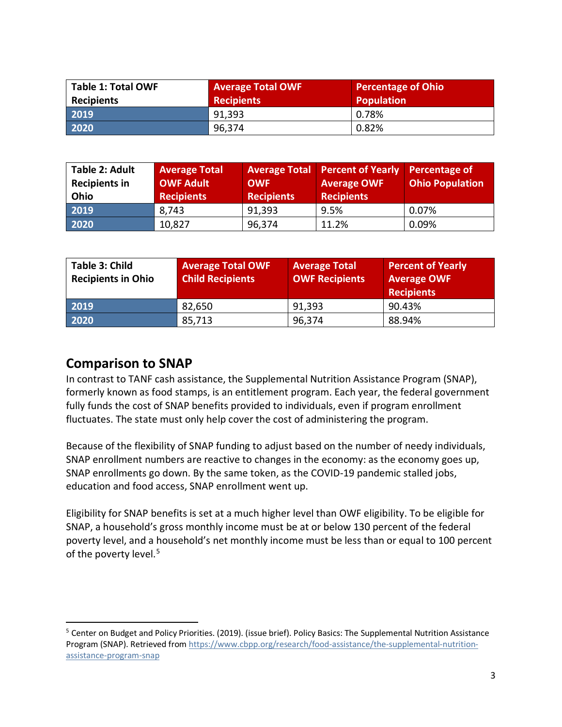| <b>Table 1: Total OWF</b><br><b>Recipients</b> | <b>Average Total OWF</b><br><b>Recipients</b> | <b>Percentage of Ohio</b><br><b>Population</b> |
|------------------------------------------------|-----------------------------------------------|------------------------------------------------|
| 2019                                           | 91,393                                        | 0.78%                                          |
| 2020                                           | 96,374                                        | 0.82%                                          |

| <b>Table 2: Adult</b><br><b>Recipients in</b><br>Ohio | <b>Average Total</b><br><b>OWF Adult</b><br><b>Recipients</b> | <b>OWF</b><br><b>Recipients</b> | Average Total   Percent of Yearly   Percentage of<br><b>Average OWF</b><br><b>Recipients</b> | <b>Ohio Population</b> |
|-------------------------------------------------------|---------------------------------------------------------------|---------------------------------|----------------------------------------------------------------------------------------------|------------------------|
| 2019                                                  | 8,743                                                         | 91,393                          | 9.5%                                                                                         | 0.07%                  |
| 2020                                                  | 10,827                                                        | 96,374                          | 11.2%                                                                                        | 0.09%                  |

| Table 3: Child<br><b>Recipients in Ohio</b> | <b>Average Total OWF</b><br><b>Child Recipients</b> | <b>Average Total</b><br><b>OWF Recipients</b> | <b>Percent of Yearly</b><br><b>Average OWF</b><br><b>Recipients</b> |
|---------------------------------------------|-----------------------------------------------------|-----------------------------------------------|---------------------------------------------------------------------|
| 2019                                        | 82,650                                              | 91,393                                        | 90.43%                                                              |
| 2020                                        | 85,713                                              | 96,374                                        | 88.94%                                                              |

#### **Comparison to SNAP**

In contrast to TANF cash assistance, the Supplemental Nutrition Assistance Program (SNAP), formerly known as food stamps, is an entitlement program. Each year, the federal government fully funds the cost of SNAP benefits provided to individuals, even if program enrollment fluctuates. The state must only help cover the cost of administering the program.

Because of the flexibility of SNAP funding to adjust based on the number of needy individuals, SNAP enrollment numbers are reactive to changes in the economy: as the economy goes up, SNAP enrollments go down. By the same token, as the COVID-19 pandemic stalled jobs, education and food access, SNAP enrollment went up.

Eligibility for SNAP benefits is set at a much higher level than OWF eligibility. To be eligible for SNAP, a household's gross monthly income must be at or below 130 percent of the federal poverty level, and a household's net monthly income must be less than or equal to 100 percent of the poverty level.<sup>[5](#page-3-0)</sup>

<span id="page-3-0"></span><sup>&</sup>lt;sup>5</sup> Center on Budget and Policy Priorities. (2019). (issue brief). Policy Basics: The Supplemental Nutrition Assistance Program (SNAP). Retrieved fro[m https://www.cbpp.org/research/food-assistance/the-supplemental-nutrition](https://www.cbpp.org/research/food-assistance/the-supplemental-nutrition-assistance-program-snap)[assistance-program-snap](https://www.cbpp.org/research/food-assistance/the-supplemental-nutrition-assistance-program-snap)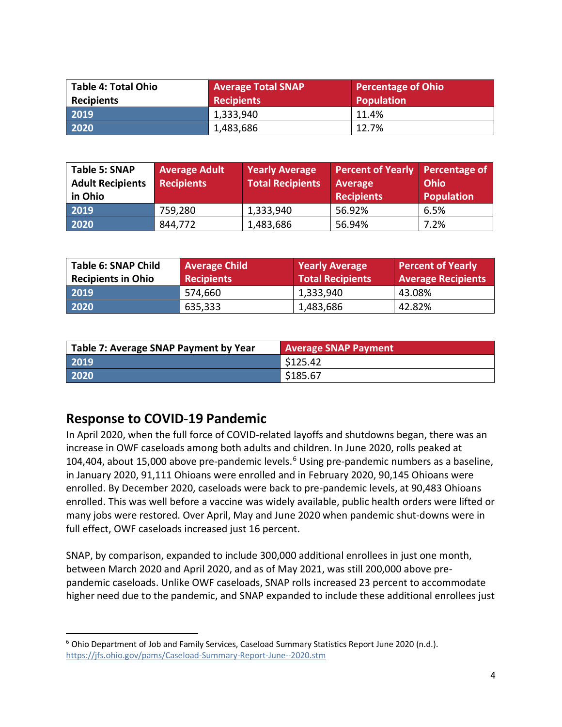| <b>Table 4: Total Ohio</b><br><b>Recipients</b> | <b>Average Total SNAP</b><br><b>Recipients</b> | <b>Percentage of Ohio</b><br>Population |
|-------------------------------------------------|------------------------------------------------|-----------------------------------------|
| 2019                                            | 1,333,940                                      | 11.4%                                   |
| 2020                                            | 1,483,686                                      | 12.7%                                   |

| Table 5: SNAP<br><b>Adult Recipients</b><br>in Ohio | <b>Average Adult</b><br><b>Recipients</b> | <b>Yearly Average</b><br><b>Total Recipients</b> | Percent of Yearly Percentage of<br>Average<br><b>Recipients</b> | Ohio<br><b>Population</b> |
|-----------------------------------------------------|-------------------------------------------|--------------------------------------------------|-----------------------------------------------------------------|---------------------------|
| 2019                                                | 759,280                                   | 1,333,940                                        | 56.92%                                                          | 6.5%                      |
| 2020                                                | 844,772                                   | 1,483,686                                        | 56.94%                                                          | 7.2%                      |

| Table 6: SNAP Child       | <b>Average Child</b> | <b>Yearly Average</b>   | <b>Percent of Yearly</b>  |
|---------------------------|----------------------|-------------------------|---------------------------|
| <b>Recipients in Ohio</b> | <b>Recipients</b>    | <b>Total Recipients</b> | <b>Average Recipients</b> |
| 2019                      | 574,660              | 1,333,940               | 43.08%                    |
| 2020                      | 635,333              | 1,483,686               | 42.82%                    |

| Table 7: Average SNAP Payment by Year | <b>Average SNAP Payment</b> |
|---------------------------------------|-----------------------------|
| 2019                                  | l \$125.42                  |
| 2020                                  | \$185.67                    |

#### **Response to COVID-19 Pandemic**

In April 2020, when the full force of COVID-related layoffs and shutdowns began, there was an increase in OWF caseloads among both adults and children. In June 2020, rolls peaked at 104,404, about 15,000 above pre-pandemic levels.<sup>[6](#page-4-0)</sup> Using pre-pandemic numbers as a baseline, in January 2020, 91,111 Ohioans were enrolled and in February 2020, 90,145 Ohioans were enrolled. By December 2020, caseloads were back to pre-pandemic levels, at 90,483 Ohioans enrolled. This was well before a vaccine was widely available, public health orders were lifted or many jobs were restored. Over April, May and June 2020 when pandemic shut-downs were in full effect, OWF caseloads increased just 16 percent.

SNAP, by comparison, expanded to include 300,000 additional enrollees in just one month, between March 2020 and April 2020, and as of May 2021, was still 200,000 above prepandemic caseloads. Unlike OWF caseloads, SNAP rolls increased 23 percent to accommodate higher need due to the pandemic, and SNAP expanded to include these additional enrollees just

<span id="page-4-0"></span> <sup>6</sup> Ohio Department of Job and Family Services, Caseload Summary Statistics Report June 2020 (n.d.). <https://jfs.ohio.gov/pams/Caseload-Summary-Report-June--2020.stm>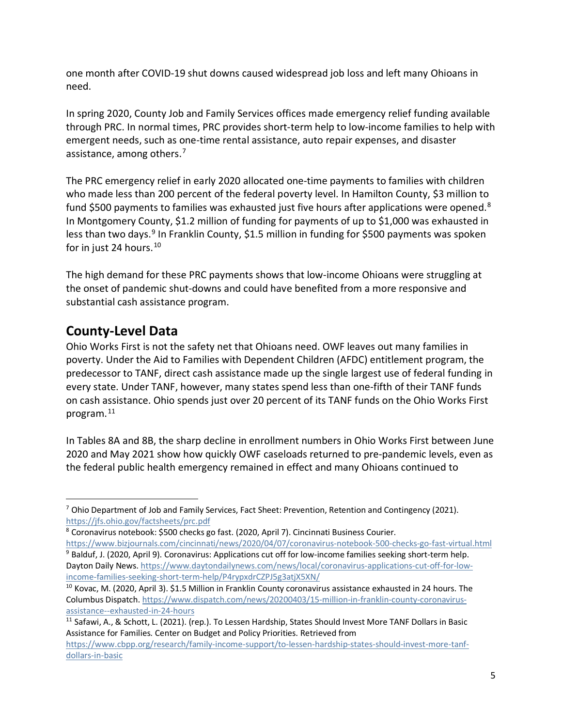one month after COVID-19 shut downs caused widespread job loss and left many Ohioans in need.

In spring 2020, County Job and Family Services offices made emergency relief funding available through PRC. In normal times, PRC provides short-term help to low-income families to help with emergent needs, such as one-time rental assistance, auto repair expenses, and disaster assistance, among others.<sup>[7](#page-5-0)</sup>

The PRC emergency relief in early 2020 allocated one-time payments to families with children who made less than 200 percent of the federal poverty level. In Hamilton County, \$3 million to fund \$500 payments to families was exhausted just five hours after applications were opened.<sup>[8](#page-5-1)</sup> In Montgomery County, \$1.2 million of funding for payments of up to \$1,000 was exhausted in less than two days.<sup>[9](#page-5-2)</sup> In Franklin County, \$1.5 million in funding for \$500 payments was spoken for in just 24 hours. $10$ 

The high demand for these PRC payments shows that low-income Ohioans were struggling at the onset of pandemic shut-downs and could have benefited from a more responsive and substantial cash assistance program.

#### **County-Level Data**

Ohio Works First is not the safety net that Ohioans need. OWF leaves out many families in poverty. Under the Aid to Families with Dependent Children (AFDC) entitlement program, the predecessor to TANF, direct cash assistance made up the single largest use of federal funding in every state. Under TANF, however, many states spend less than one-fifth of their TANF funds on cash assistance. Ohio spends just over 20 percent of its TANF funds on the Ohio Works First program.[11](#page-5-4)

In Tables 8A and 8B, the sharp decline in enrollment numbers in Ohio Works First between June 2020 and May 2021 show how quickly OWF caseloads returned to pre-pandemic levels, even as the federal public health emergency remained in effect and many Ohioans continued to

<span id="page-5-0"></span><sup>&</sup>lt;sup>7</sup> Ohio Department of Job and Family Services, Fact Sheet: Prevention, Retention and Contingency (2021). <https://jfs.ohio.gov/factsheets/prc.pdf>

<span id="page-5-1"></span><sup>8</sup> Coronavirus notebook: \$500 checks go fast. (2020, April 7). Cincinnati Business Courier.

<span id="page-5-2"></span><https://www.bizjournals.com/cincinnati/news/2020/04/07/coronavirus-notebook-500-checks-go-fast-virtual.html> <sup>9</sup> Balduf, J. (2020, April 9). Coronavirus: Applications cut off for low-income families seeking short-term help. Dayton Daily News[. https://www.daytondailynews.com/news/local/coronavirus-applications-cut-off-for-low](https://www.daytondailynews.com/news/local/coronavirus-applications-cut-off-for-low-income-families-seeking-short-term-help/P4rypxdrCZPJ5g3atjX5XN/)[income-families-seeking-short-term-help/P4rypxdrCZPJ5g3atjX5XN/](https://www.daytondailynews.com/news/local/coronavirus-applications-cut-off-for-low-income-families-seeking-short-term-help/P4rypxdrCZPJ5g3atjX5XN/)

<span id="page-5-3"></span><sup>&</sup>lt;sup>10</sup> Kovac, M. (2020, April 3). \$1.5 Million in Franklin County coronavirus assistance exhausted in 24 hours. The Columbus Dispatch. [https://www.dispatch.com/news/20200403/15-million-in-franklin-county-coronavirus](https://www.dispatch.com/news/20200403/15-million-in-franklin-county-coronavirus-assistance--exhausted-in-24-hours)[assistance--exhausted-in-24-hours](https://www.dispatch.com/news/20200403/15-million-in-franklin-county-coronavirus-assistance--exhausted-in-24-hours)

<span id="page-5-4"></span><sup>&</sup>lt;sup>11</sup> Safawi, A., & Schott, L. (2021). (rep.). To Lessen Hardship, States Should Invest More TANF Dollars in Basic Assistance for Families. Center on Budget and Policy Priorities. Retrieved from

[https://www.cbpp.org/research/family-income-support/to-lessen-hardship-states-should-invest-more-tanf](https://www.cbpp.org/research/family-income-support/to-lessen-hardship-states-should-invest-more-tanf-dollars-in-basic)[dollars-in-basic](https://www.cbpp.org/research/family-income-support/to-lessen-hardship-states-should-invest-more-tanf-dollars-in-basic)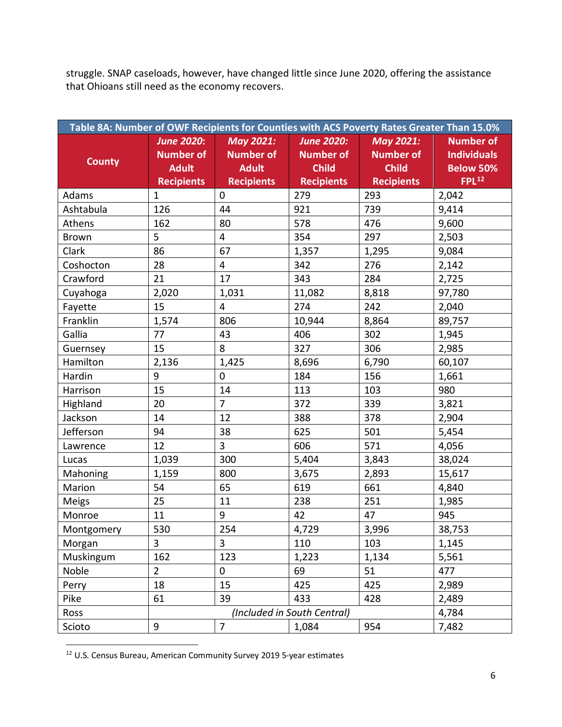struggle. SNAP caseloads, however, have changed little since June 2020, offering the assistance that Ohioans still need as the economy recovers.

| Table 8A: Number of OWF Recipients for Counties with ACS Poverty Rates Greater Than 15.0% |                                                                            |                                                                           |                                                                            |                                                                    |                                                                          |
|-------------------------------------------------------------------------------------------|----------------------------------------------------------------------------|---------------------------------------------------------------------------|----------------------------------------------------------------------------|--------------------------------------------------------------------|--------------------------------------------------------------------------|
| <b>County</b>                                                                             | <b>June 2020:</b><br><b>Number of</b><br><b>Adult</b><br><b>Recipients</b> | <b>May 2021:</b><br><b>Number of</b><br><b>Adult</b><br><b>Recipients</b> | <b>June 2020:</b><br><b>Number of</b><br><b>Child</b><br><b>Recipients</b> | May 2021:<br><b>Number of</b><br><b>Child</b><br><b>Recipients</b> | <b>Number of</b><br><b>Individuals</b><br><b>Below 50%</b><br>$FPL^{12}$ |
| Adams                                                                                     | $\mathbf{1}$                                                               | $\mathbf 0$                                                               | 279                                                                        | 293                                                                | 2,042                                                                    |
| Ashtabula                                                                                 | 126                                                                        | 44                                                                        | 921                                                                        | 739                                                                | 9,414                                                                    |
| Athens                                                                                    | 162                                                                        | 80                                                                        | 578                                                                        | 476                                                                | 9,600                                                                    |
| Brown                                                                                     | 5                                                                          | 4                                                                         | 354                                                                        | 297                                                                | 2,503                                                                    |
| Clark                                                                                     | 86                                                                         | 67                                                                        | 1,357                                                                      | 1,295                                                              | 9,084                                                                    |
| Coshocton                                                                                 | 28                                                                         | 4                                                                         | 342                                                                        | 276                                                                | 2,142                                                                    |
| Crawford                                                                                  | 21                                                                         | 17                                                                        | 343                                                                        | 284                                                                | 2,725                                                                    |
| Cuyahoga                                                                                  | 2,020                                                                      | 1,031                                                                     | 11,082                                                                     | 8,818                                                              | 97,780                                                                   |
| Fayette                                                                                   | 15                                                                         | $\overline{\mathbf{4}}$                                                   | 274                                                                        | 242                                                                | 2,040                                                                    |
| Franklin                                                                                  | 1,574                                                                      | 806                                                                       | 10,944                                                                     | 8,864                                                              | 89,757                                                                   |
| Gallia                                                                                    | 77                                                                         | 43                                                                        | 406                                                                        | 302                                                                | 1,945                                                                    |
| Guernsey                                                                                  | 15                                                                         | 8                                                                         | 327                                                                        | 306                                                                | 2,985                                                                    |
| Hamilton                                                                                  | 2,136                                                                      | 1,425                                                                     | 8,696                                                                      | 6,790                                                              | 60,107                                                                   |
| Hardin                                                                                    | 9                                                                          | 0                                                                         | 184                                                                        | 156                                                                | 1,661                                                                    |
| Harrison                                                                                  | 15                                                                         | 14                                                                        | 113                                                                        | 103                                                                | 980                                                                      |
| Highland                                                                                  | 20                                                                         | $\overline{7}$                                                            | 372                                                                        | 339                                                                | 3,821                                                                    |
| Jackson                                                                                   | 14                                                                         | 12                                                                        | 388                                                                        | 378                                                                | 2,904                                                                    |
| Jefferson                                                                                 | 94                                                                         | 38                                                                        | 625                                                                        | 501                                                                | 5,454                                                                    |
| Lawrence                                                                                  | 12                                                                         | $\overline{3}$                                                            | 606                                                                        | 571                                                                | 4,056                                                                    |
| Lucas                                                                                     | 1,039                                                                      | 300                                                                       | 5,404                                                                      | 3,843                                                              | 38,024                                                                   |
| Mahoning                                                                                  | 1,159                                                                      | 800                                                                       | 3,675                                                                      | 2,893                                                              | 15,617                                                                   |
| Marion                                                                                    | 54                                                                         | 65                                                                        | 619                                                                        | 661                                                                | 4,840                                                                    |
| Meigs                                                                                     | 25                                                                         | 11                                                                        | 238                                                                        | 251                                                                | 1,985                                                                    |
| Monroe                                                                                    | 11                                                                         | 9                                                                         | 42                                                                         | 47                                                                 | 945                                                                      |
| Montgomery                                                                                | 530                                                                        | 254                                                                       | 4,729                                                                      | 3,996                                                              | 38,753                                                                   |
| Morgan                                                                                    | 3                                                                          | 3                                                                         | 110                                                                        | 103                                                                | 1,145                                                                    |
| Muskingum                                                                                 | 162                                                                        | 123                                                                       | 1,223                                                                      | 1,134                                                              | 5,561                                                                    |
| Noble                                                                                     | $\overline{2}$                                                             | 0                                                                         | 69                                                                         | 51                                                                 | 477                                                                      |
| Perry                                                                                     | 18                                                                         | 15                                                                        | 425                                                                        | 425                                                                | 2,989                                                                    |
| Pike                                                                                      | 61                                                                         | 39                                                                        | 433                                                                        | 428                                                                | 2,489                                                                    |
| Ross                                                                                      |                                                                            |                                                                           | (Included in South Central)                                                |                                                                    | 4,784                                                                    |
| Scioto                                                                                    | 9                                                                          | $\overline{7}$                                                            | 1,084                                                                      | 954                                                                | 7,482                                                                    |

<span id="page-6-0"></span> <sup>12</sup> U.S. Census Bureau, American Community Survey 2019 5-year estimates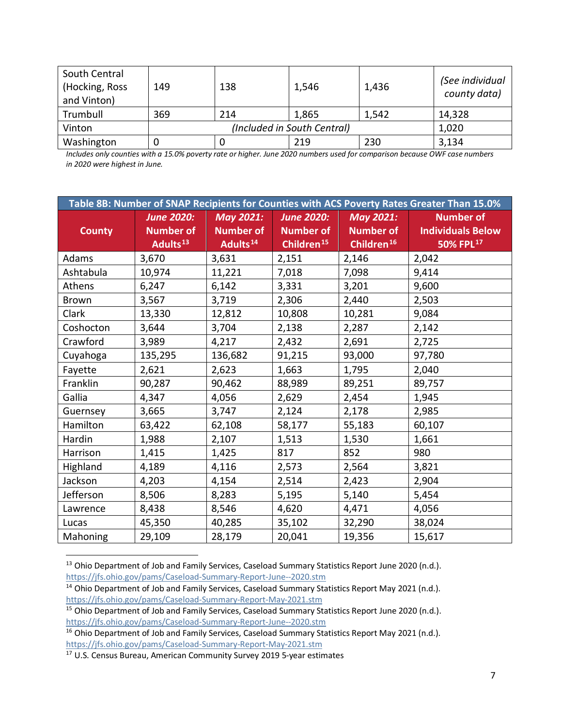| South Central<br>(Hocking, Ross)<br>and Vinton) | 149 | 138 | 1,546                       | 1,436 | (See individual<br>county data) |
|-------------------------------------------------|-----|-----|-----------------------------|-------|---------------------------------|
| Trumbull                                        | 369 | 214 | 1,865                       | 1,542 | 14,328                          |
| Vinton                                          |     |     | (Included in South Central) |       | 1,020                           |
| Washington                                      |     |     | 219                         | 230   | 3,134                           |

*Includes only counties with a 15.0% poverty rate or higher. June 2020 numbers used for comparison because OWF case numbers in 2020 were highest in June.*

| Table 8B: Number of SNAP Recipients for Counties with ACS Poverty Rates Greater Than 15.0% |                                                               |                                                              |                                                                 |                                                                |                                                                       |
|--------------------------------------------------------------------------------------------|---------------------------------------------------------------|--------------------------------------------------------------|-----------------------------------------------------------------|----------------------------------------------------------------|-----------------------------------------------------------------------|
| <b>County</b>                                                                              | <b>June 2020:</b><br><b>Number of</b><br>Adults <sup>13</sup> | <b>May 2021:</b><br><b>Number of</b><br>Adults <sup>14</sup> | <b>June 2020:</b><br><b>Number of</b><br>Children <sup>15</sup> | <b>May 2021:</b><br><b>Number of</b><br>Children <sup>16</sup> | <b>Number of</b><br><b>Individuals Below</b><br>50% FPL <sup>17</sup> |
| Adams                                                                                      | 3,670                                                         | 3,631                                                        | 2,151                                                           | 2,146                                                          | 2,042                                                                 |
| Ashtabula                                                                                  | 10,974                                                        | 11,221                                                       | 7,018                                                           | 7,098                                                          | 9,414                                                                 |
| Athens                                                                                     | 6,247                                                         | 6,142                                                        | 3,331                                                           | 3,201                                                          | 9,600                                                                 |
| <b>Brown</b>                                                                               | 3,567                                                         | 3,719                                                        | 2,306                                                           | 2,440                                                          | 2,503                                                                 |
| Clark                                                                                      | 13,330                                                        | 12,812                                                       | 10,808                                                          | 10,281                                                         | 9,084                                                                 |
| Coshocton                                                                                  | 3,644                                                         | 3,704                                                        | 2,138                                                           | 2,287                                                          | 2,142                                                                 |
| Crawford                                                                                   | 3,989                                                         | 4,217                                                        | 2,432                                                           | 2,691                                                          | 2,725                                                                 |
| Cuyahoga                                                                                   | 135,295                                                       | 136,682                                                      | 91,215                                                          | 93,000                                                         | 97,780                                                                |
| Fayette                                                                                    | 2,621                                                         | 2,623                                                        | 1,663                                                           | 1,795                                                          | 2,040                                                                 |
| Franklin                                                                                   | 90,287                                                        | 90,462                                                       | 88,989                                                          | 89,251                                                         | 89,757                                                                |
| Gallia                                                                                     | 4,347                                                         | 4,056                                                        | 2,629                                                           | 2,454                                                          | 1,945                                                                 |
| Guernsey                                                                                   | 3,665                                                         | 3,747                                                        | 2,124                                                           | 2,178                                                          | 2,985                                                                 |
| Hamilton                                                                                   | 63,422                                                        | 62,108                                                       | 58,177                                                          | 55,183                                                         | 60,107                                                                |
| Hardin                                                                                     | 1,988                                                         | 2,107                                                        | 1,513                                                           | 1,530                                                          | 1,661                                                                 |
| Harrison                                                                                   | 1,415                                                         | 1,425                                                        | 817                                                             | 852                                                            | 980                                                                   |
| Highland                                                                                   | 4,189                                                         | 4,116                                                        | 2,573                                                           | 2,564                                                          | 3,821                                                                 |
| Jackson                                                                                    | 4,203                                                         | 4,154                                                        | 2,514                                                           | 2,423                                                          | 2,904                                                                 |
| Jefferson                                                                                  | 8,506                                                         | 8,283                                                        | 5,195                                                           | 5,140                                                          | 5,454                                                                 |
| Lawrence                                                                                   | 8,438                                                         | 8,546                                                        | 4,620                                                           | 4,471                                                          | 4,056                                                                 |
| Lucas                                                                                      | 45,350                                                        | 40,285                                                       | 35,102                                                          | 32,290                                                         | 38,024                                                                |
| Mahoning                                                                                   | 29,109                                                        | 28,179                                                       | 20,041                                                          | 19,356                                                         | 15,617                                                                |

<span id="page-7-0"></span><sup>13</sup> Ohio Department of Job and Family Services, Caseload Summary Statistics Report June 2020 (n.d.). <https://jfs.ohio.gov/pams/Caseload-Summary-Report-June--2020.stm>

<span id="page-7-1"></span><sup>&</sup>lt;sup>14</sup> Ohio Department of Job and Family Services, Caseload Summary Statistics Report May 2021 (n.d.). <https://jfs.ohio.gov/pams/Caseload-Summary-Report-May-2021.stm>

<span id="page-7-2"></span><sup>&</sup>lt;sup>15</sup> Ohio Department of Job and Family Services, Caseload Summary Statistics Report June 2020 (n.d.). <https://jfs.ohio.gov/pams/Caseload-Summary-Report-June--2020.stm>

<span id="page-7-3"></span><sup>&</sup>lt;sup>16</sup> Ohio Department of Job and Family Services, Caseload Summary Statistics Report May 2021 (n.d.). <https://jfs.ohio.gov/pams/Caseload-Summary-Report-May-2021.stm>

<span id="page-7-4"></span><sup>17</sup> U.S. Census Bureau, American Community Survey 2019 5-year estimates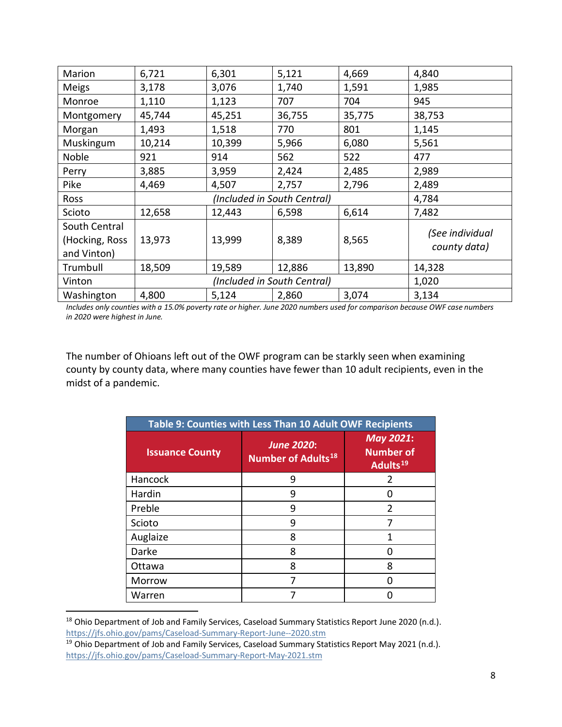| Marion         | 6,721  | 6,301  | 5,121                       | 4,669  | 4,840           |
|----------------|--------|--------|-----------------------------|--------|-----------------|
| <b>Meigs</b>   | 3,178  | 3,076  | 1,740                       | 1,591  | 1,985           |
| Monroe         | 1,110  | 1,123  | 707                         | 704    | 945             |
| Montgomery     | 45,744 | 45,251 | 36,755                      | 35,775 | 38,753          |
| Morgan         | 1,493  | 1,518  | 770                         | 801    | 1,145           |
| Muskingum      | 10,214 | 10,399 | 5,966                       | 6,080  | 5,561           |
| Noble          | 921    | 914    | 562                         | 522    | 477             |
| Perry          | 3,885  | 3,959  | 2,424                       | 2,485  | 2,989           |
| Pike           | 4,469  | 4,507  | 2,757                       | 2,796  | 2,489           |
| <b>Ross</b>    |        |        | (Included in South Central) |        | 4,784           |
| Scioto         | 12,658 | 12,443 | 6,598                       | 6,614  | 7,482           |
| South Central  |        |        |                             |        | (See individual |
| (Hocking, Ross | 13,973 | 13,999 | 8,389                       | 8,565  | county data)    |
| and Vinton)    |        |        |                             |        |                 |
| Trumbull       | 18,509 | 19,589 | 12,886                      | 13,890 | 14,328          |
| Vinton         |        | 1,020  |                             |        |                 |
| Washington     | 4,800  | 5,124  | 2,860                       | 3,074  | 3,134           |

*Includes only counties with a 15.0% poverty rate or higher. June 2020 numbers used for comparison because OWF case numbers in 2020 were highest in June.*

The number of Ohioans left out of the OWF program can be starkly seen when examining county by county data, where many counties have fewer than 10 adult recipients, even in the midst of a pandemic.

| Table 9: Counties with Less Than 10 Adult OWF Recipients |                                                     |                                                       |  |  |  |
|----------------------------------------------------------|-----------------------------------------------------|-------------------------------------------------------|--|--|--|
| <b>Issuance County</b>                                   | <b>June 2020:</b><br>Number of Adults <sup>18</sup> | May 2021:<br><b>Number of</b><br>Adults <sup>19</sup> |  |  |  |
| Hancock                                                  | 9                                                   | 2                                                     |  |  |  |
| Hardin                                                   | 9                                                   |                                                       |  |  |  |
| Preble                                                   | 9                                                   | $\overline{2}$                                        |  |  |  |
| Scioto                                                   | 9                                                   | 7                                                     |  |  |  |
| Auglaize                                                 | 8                                                   | 1                                                     |  |  |  |
| Darke                                                    | 8                                                   |                                                       |  |  |  |
| Ottawa                                                   | 8                                                   | 8                                                     |  |  |  |
| Morrow                                                   | 7                                                   |                                                       |  |  |  |
| Warren                                                   | 7                                                   |                                                       |  |  |  |
|                                                          |                                                     |                                                       |  |  |  |

<span id="page-8-0"></span><sup>&</sup>lt;sup>18</sup> Ohio Department of Job and Family Services, Caseload Summary Statistics Report June 2020 (n.d.). <https://jfs.ohio.gov/pams/Caseload-Summary-Report-June--2020.stm>

<span id="page-8-1"></span><sup>&</sup>lt;sup>19</sup> Ohio Department of Job and Family Services, Caseload Summary Statistics Report May 2021 (n.d.). <https://jfs.ohio.gov/pams/Caseload-Summary-Report-May-2021.stm>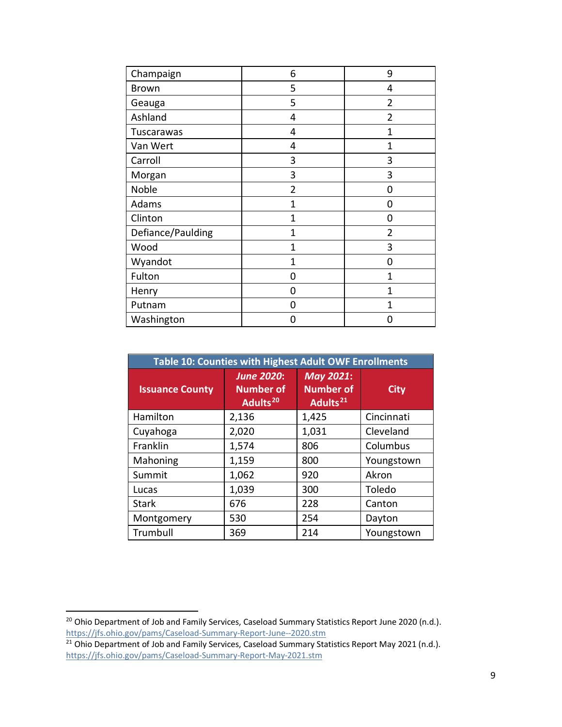| Champaign         | 6              | 9              |
|-------------------|----------------|----------------|
| <b>Brown</b>      | 5              | 4              |
| Geauga            | 5              | $\overline{2}$ |
| Ashland           | 4              | $\overline{2}$ |
| Tuscarawas        | 4              | 1              |
| Van Wert          | 4              | $\mathbf{1}$   |
| Carroll           | 3              | 3              |
| Morgan            | 3              | 3              |
| Noble             | $\overline{2}$ | 0              |
| Adams             | 1              | 0              |
| Clinton           | 1              | 0              |
| Defiance/Paulding | 1              | $\overline{2}$ |
| Wood              | 1              | 3              |
| Wyandot           | 1              | 0              |
| Fulton            | 0              | 1              |
| Henry             | 0              | 1              |
| Putnam            | 0              | 1              |
| Washington        | ი              | U              |

| Table 10: Counties with Highest Adult OWF Enrollments |                                                               |                                                              |             |  |  |
|-------------------------------------------------------|---------------------------------------------------------------|--------------------------------------------------------------|-------------|--|--|
| <b>Issuance County</b>                                | <b>June 2020:</b><br><b>Number of</b><br>Adults <sup>20</sup> | <b>May 2021:</b><br><b>Number of</b><br>Adults <sup>21</sup> | <b>City</b> |  |  |
| Hamilton                                              | 2,136                                                         | 1,425                                                        | Cincinnati  |  |  |
| Cuyahoga                                              | 2,020                                                         | 1,031                                                        | Cleveland   |  |  |
| Franklin                                              | 1,574                                                         | 806                                                          | Columbus    |  |  |
| Mahoning                                              | 1,159                                                         | 800                                                          | Youngstown  |  |  |
| Summit                                                | 1,062                                                         | 920                                                          | Akron       |  |  |
| Lucas                                                 | 1,039                                                         | 300                                                          | Toledo      |  |  |
| <b>Stark</b>                                          | 676                                                           | 228                                                          | Canton      |  |  |
| Montgomery                                            | 530                                                           | 254                                                          | Dayton      |  |  |
| Trumbull                                              | 369                                                           | 214                                                          | Youngstown  |  |  |

<span id="page-9-0"></span><sup>&</sup>lt;sup>20</sup> Ohio Department of Job and Family Services, Caseload Summary Statistics Report June 2020 (n.d.). <https://jfs.ohio.gov/pams/Caseload-Summary-Report-June--2020.stm>

<span id="page-9-1"></span><sup>&</sup>lt;sup>21</sup> Ohio Department of Job and Family Services, Caseload Summary Statistics Report May 2021 (n.d.). <https://jfs.ohio.gov/pams/Caseload-Summary-Report-May-2021.stm>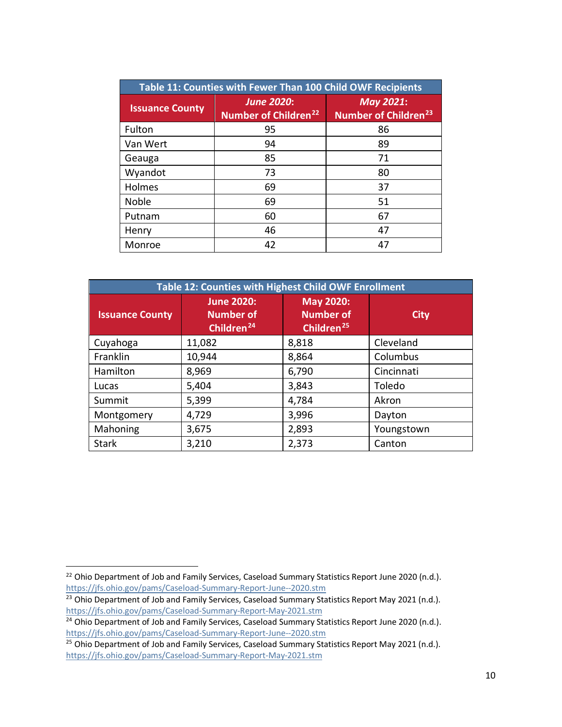| Table 11: Counties with Fewer Than 100 Child OWF Recipients |                                                       |                                                      |  |  |  |
|-------------------------------------------------------------|-------------------------------------------------------|------------------------------------------------------|--|--|--|
| <b>Issuance County</b>                                      | <b>June 2020:</b><br>Number of Children <sup>22</sup> | <b>May 2021:</b><br>Number of Children <sup>23</sup> |  |  |  |
| Fulton                                                      | 95                                                    | 86                                                   |  |  |  |
| Van Wert                                                    | 94                                                    | 89                                                   |  |  |  |
| Geauga                                                      | 85                                                    | 71                                                   |  |  |  |
| Wyandot                                                     | 73                                                    | 80                                                   |  |  |  |
| Holmes                                                      | 69                                                    | 37                                                   |  |  |  |
| Noble                                                       | 69                                                    | 51                                                   |  |  |  |
| Putnam                                                      | 60                                                    | 67                                                   |  |  |  |
| Henry                                                       | 46                                                    | 47                                                   |  |  |  |
| Monroe                                                      | 42                                                    | 47                                                   |  |  |  |

| Table 12: Counties with Highest Child OWF Enrollment |                                                                 |                                                  |             |  |  |  |
|------------------------------------------------------|-----------------------------------------------------------------|--------------------------------------------------|-------------|--|--|--|
| <b>Issuance County</b>                               | <b>June 2020:</b><br><b>Number of</b><br>Children <sup>24</sup> | May 2020:<br>Number of<br>Children <sup>25</sup> | <b>City</b> |  |  |  |
| Cuyahoga                                             | 11,082                                                          | 8,818                                            | Cleveland   |  |  |  |
| Franklin                                             | 10,944                                                          | 8,864                                            | Columbus    |  |  |  |
| Hamilton                                             | 8,969                                                           | 6,790                                            | Cincinnati  |  |  |  |
| Lucas                                                | 5,404                                                           | 3,843                                            | Toledo      |  |  |  |
| Summit                                               | 5,399                                                           | 4,784                                            | Akron       |  |  |  |
| Montgomery                                           | 4,729                                                           | 3,996                                            | Dayton      |  |  |  |
| Mahoning                                             | 3,675                                                           | 2,893                                            | Youngstown  |  |  |  |
| <b>Stark</b>                                         | 3,210                                                           | 2,373                                            | Canton      |  |  |  |

<span id="page-10-0"></span><sup>&</sup>lt;sup>22</sup> Ohio Department of Job and Family Services, Caseload Summary Statistics Report June 2020 (n.d.). <https://jfs.ohio.gov/pams/Caseload-Summary-Report-June--2020.stm>

<span id="page-10-1"></span><sup>&</sup>lt;sup>23</sup> Ohio Department of Job and Family Services, Caseload Summary Statistics Report May 2021 (n.d.). <https://jfs.ohio.gov/pams/Caseload-Summary-Report-May-2021.stm>

<span id="page-10-2"></span><sup>&</sup>lt;sup>24</sup> Ohio Department of Job and Family Services, Caseload Summary Statistics Report June 2020 (n.d.). <https://jfs.ohio.gov/pams/Caseload-Summary-Report-June--2020.stm>

<span id="page-10-3"></span><sup>&</sup>lt;sup>25</sup> Ohio Department of Job and Family Services, Caseload Summary Statistics Report May 2021 (n.d.). <https://jfs.ohio.gov/pams/Caseload-Summary-Report-May-2021.stm>